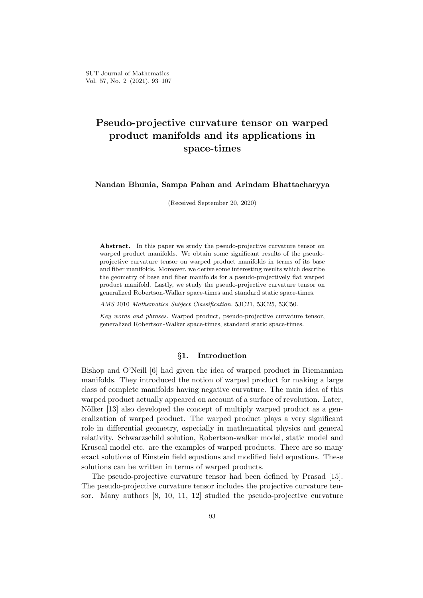# **Pseudo-projective curvature tensor on warped product manifolds and its applications in space-times**

#### **Nandan Bhunia, Sampa Pahan and Arindam Bhattacharyya**

(Received September 20, 2020)

Abstract. In this paper we study the pseudo-projective curvature tensor on warped product manifolds. We obtain some significant results of the pseudoprojective curvature tensor on warped product manifolds in terms of its base and fiber manifolds. Moreover, we derive some interesting results which describe the geometry of base and fiber manifolds for a pseudo-projectively flat warped product manifold. Lastly, we study the pseudo-projective curvature tensor on generalized Robertson-Walker space-times and standard static space-times.

*AMS* 2010 *Mathematics Subject Classification.* 53C21, 53C25, 53C50.

*Key words and phrases.* Warped product, pseudo-projective curvature tensor, generalized Robertson-Walker space-times, standard static space-times.

### *§***1. Introduction**

Bishop and O'Neill [6] had given the idea of warped product in Riemannian manifolds. They introduced the notion of warped product for making a large class of complete manifolds having negative curvature. The main idea of this warped product actually appeared on account of a surface of revolution. Later, Nölker [13] also developed the concept of multiply warped product as a generalization of warped product. The warped product plays a very significant role in differential geometry, especially in mathematical physics and general relativity. Schwarzschild solution, Robertson-walker model, static model and Kruscal model etc. are the examples of warped products. There are so many exact solutions of Einstein field equations and modified field equations. These solutions can be written in terms of warped products.

The pseudo-projective curvature tensor had been defined by Prasad [15]. The pseudo-projective curvature tensor includes the projective curvature tensor. Many authors [8, 10, 11, 12] studied the pseudo-projective curvature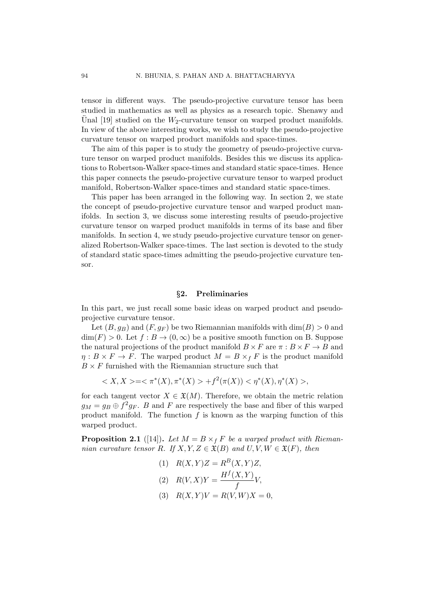tensor in different ways. The pseudo-projective curvature tensor has been studied in mathematics as well as physics as a research topic. Shenawy and Unal  $[19]$  studied on the  $W_2$ -curvature tensor on warped product manifolds. In view of the above interesting works, we wish to study the pseudo-projective curvature tensor on warped product manifolds and space-times.

The aim of this paper is to study the geometry of pseudo-projective curvature tensor on warped product manifolds. Besides this we discuss its applications to Robertson-Walker space-times and standard static space-times. Hence this paper connects the pseudo-projective curvature tensor to warped product manifold, Robertson-Walker space-times and standard static space-times.

This paper has been arranged in the following way. In section 2, we state the concept of pseudo-projective curvature tensor and warped product manifolds. In section 3, we discuss some interesting results of pseudo-projective curvature tensor on warped product manifolds in terms of its base and fiber manifolds. In section 4, we study pseudo-projective curvature tensor on generalized Robertson-Walker space-times. The last section is devoted to the study of standard static space-times admitting the pseudo-projective curvature tensor.

## *§***2. Preliminaries**

In this part, we just recall some basic ideas on warped product and pseudoprojective curvature tensor.

Let  $(B, g_B)$  and  $(F, g_F)$  be two Riemannian manifolds with  $dim(B) > 0$  and  $\dim(F) > 0$ . Let  $f : B \to (0, \infty)$  be a positive smooth function on B. Suppose the natural projections of the product manifold  $B \times F$  are  $\pi : B \times F \to B$  and  $\eta: B \times F \to F$ . The warped product  $M = B \times_f F$  is the product manifold  $B \times F$  furnished with the Riemannian structure such that

$$
\langle X, X \rangle = \langle \pi^*(X), \pi^*(X) \rangle + f^2(\pi(X)) < \eta^*(X), \eta^*(X) >,
$$

for each tangent vector  $X \in \mathfrak{X}(M)$ . Therefore, we obtain the metric relation  $g_M = g_B \oplus f^2 g_F$ . *B* and *F* are respectively the base and fiber of this warped product manifold. The function *f* is known as the warping function of this warped product.

**Proposition 2.1** ([14]). Let  $M = B \times_f F$  be a warped product with Rieman*nian curvature tensor R.* If  $X, Y, Z \in \mathfrak{X}(B)$  *and*  $U, V, W \in \mathfrak{X}(F)$ *, then* 

(1) 
$$
R(X,Y)Z = R^{B}(X,Y)Z,
$$
  
\n(2) 
$$
R(V,X)Y = \frac{H^{f}(X,Y)}{f}V,
$$

 $R(X, Y)V = R(V, W)X = 0,$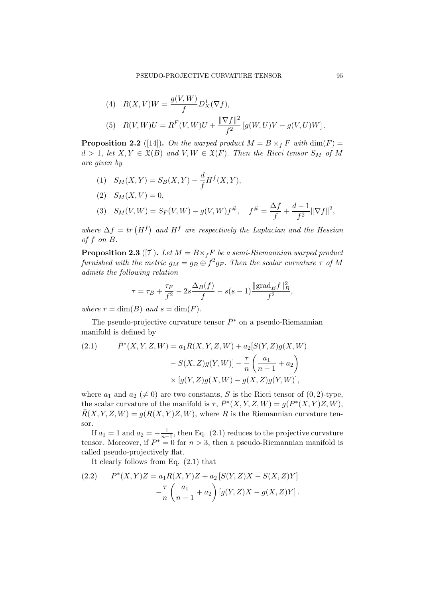(4) 
$$
R(X, V)W = \frac{g(V, W)}{f} D_X^1(\nabla f),
$$
  
\n(5)  $R(V, W)U = R^F(V, W)U + \frac{\|\nabla f\|^2}{f^2} [g(W, U)V - g(V, U)W].$ 

**Proposition 2.2** ([14]). *On the warped product*  $M = B \times_f F$  *with* dim(*F*) =  $d > 1$ , let  $X, Y \in \mathfrak{X}(B)$  and  $V, W \in \mathfrak{X}(F)$ . Then the Ricci tensor  $S_M$  of M *are given by*

- (1)  $S_M(X, Y) = S_B(X, Y) \frac{d}{f}$  $\frac{a}{f}H^f(X,Y),$
- $(S_M(X, V) = 0,$  $(S)$   $S_M(V, W) = S_F(V, W) - g(V, W) f^*, \quad f^* = \frac{\Delta f}{f}$  $\frac{\Delta f}{f} + \frac{d-1}{f^2}$  $\frac{1}{f^2}$   $\|\nabla f\|^2$ ,

where  $\Delta f = tr(H^f)$  and  $H^f$  are respectively the Laplacian and the Hessian *of f on B.*

**Proposition 2.3** ([7]). Let  $M = B \times_{f} F$  be a semi-Riemannian warped product  $furnished\ with\ the\ metric\ g_M=g_B\oplus f^2g_F.$  *Then the scalar curvature*  $\tau$  *of*  $M$ *admits the following relation*

$$
\tau = \tau_B + \frac{\tau_F}{f^2} - 2s \frac{\Delta_B(f)}{f} - s(s-1) \frac{\|\text{grad}_B f\|_B^2}{f^2},
$$

*where*  $r = \dim(B)$  *and*  $s = \dim(F)$ *.* 

The pseudo-projective curvature tensor  $\bar{P}^*$  on a pseudo-Riemannian manifold is defined by

(2.1) 
$$
\bar{P}^*(X, Y, Z, W) = a_1 \bar{R}(X, Y, Z, W) + a_2 [S(Y, Z)g(X, W) - S(X, Z)g(Y, W)] - \frac{\tau}{n} \left( \frac{a_1}{n-1} + a_2 \right) \times [g(Y, Z)g(X, W) - g(X, Z)g(Y, W)],
$$

where  $a_1$  and  $a_2 \neq 0$  are two constants, *S* is the Ricci tensor of  $(0, 2)$ -type, the scalar curvature of the manifold is  $\tau$ ,  $\bar{P}^*(X, Y, Z, W) = g(P^*(X, Y)Z, W)$ ,  $\overline{R}(X, Y, Z, W) = g(R(X, Y)Z, W)$ , where *R* is the Riemannian curvature tensor.

If  $a_1 = 1$  and  $a_2 = -\frac{1}{n-1}$  $\frac{1}{n-1}$ , then Eq. (2.1) reduces to the projective curvature tensor. Moreover, if  $P^* = 0$  for  $n > 3$ , then a pseudo-Riemannian manifold is called pseudo-projectively flat.

It clearly follows from Eq. (2.1) that

(2.2) 
$$
P^*(X,Y)Z = a_1R(X,Y)Z + a_2 [S(Y,Z)X - S(X,Z)Y] - \frac{\tau}{n} \left( \frac{a_1}{n-1} + a_2 \right) [g(Y,Z)X - g(X,Z)Y].
$$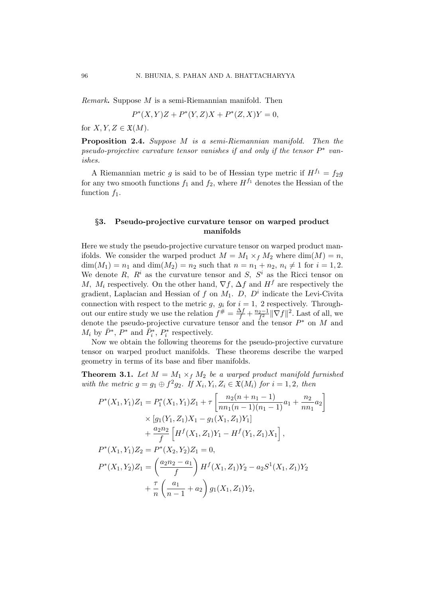*Remark***.** Suppose *M* is a semi-Riemannian manifold. Then

$$
P^*(X,Y)Z + P^*(Y,Z)X + P^*(Z,X)Y = 0,
$$

for  $X, Y, Z \in \mathfrak{X}(M)$ .

**Proposition 2.4.** *Suppose M is a semi-Riemannian manifold. Then the pseudo-projective curvature tensor vanishes if and only if the tensor P ∗ vanishes.*

A Riemannian metric *g* is said to be of Hessian type metric if  $H^{f_1} = f_2 g$ for any two smooth functions  $f_1$  and  $f_2$ , where  $H^{f_1}$  denotes the Hessian of the function  $f_1$ .

## *§***3. Pseudo-projective curvature tensor on warped product manifolds**

Here we study the pseudo-projective curvature tensor on warped product manifolds. We consider the warped product  $M = M_1 \times_f M_2$  where dim( $M = n$ , dim( $M_1$ ) =  $n_1$  and dim( $M_2$ ) =  $n_2$  such that  $n = n_1 + n_2$ ,  $n_i \neq 1$  for  $i = 1, 2$ . We denote  $R$ ,  $R^i$  as the curvature tensor and  $S$ ,  $S^i$  as the Ricci tensor on *M,*  $M_i$  respectively. On the other hand,  $\nabla f$ ,  $\Delta f$  and  $H^f$  are respectively the gradient, Laplacian and Hessian of *f* on *M*1. *D, D<sup>i</sup>* indicate the Levi-Civita connection with respect to the metric  $g$ ,  $g_i$  for  $i = 1$ , 2 respectively. Throughout our entire study we use the relation  $f^{\#} = \frac{\Delta f}{f} + \frac{n_2 - 1}{f^2} ||\nabla f||^2$ . Last of all, we denote the pseudo-projective curvature tensor and the tensor *P ∗* on *M* and  $M_i$  by  $\bar{P}^*$ ,  $P^*$  and  $\bar{P}^*_i$ ,  $P^*_i$  respectively.

Now we obtain the following theorems for the pseudo-projective curvature tensor on warped product manifolds. These theorems describe the warped geometry in terms of its base and fiber manifolds.

**Theorem 3.1.** Let  $M = M_1 \times_f M_2$  be a warped product manifold furnished *with the metric*  $g = g_1 \oplus f^2 g_2$ *. If*  $X_i, Y_i, Z_i \in \mathfrak{X}(M_i)$  *for*  $i = 1, 2$ *, then* 

$$
P^*(X_1, Y_1)Z_1 = P_1^*(X_1, Y_1)Z_1 + \tau \left[ \frac{n_2(n + n_1 - 1)}{n n_1(n - 1)(n_1 - 1)} a_1 + \frac{n_2}{n n_1} a_2 \right]
$$
  
\n
$$
\times [g_1(Y_1, Z_1)X_1 - g_1(X_1, Z_1)Y_1]
$$
  
\n
$$
+ \frac{a_2 n_2}{f} \left[ H^f(X_1, Z_1)Y_1 - H^f(Y_1, Z_1)X_1 \right],
$$
  
\n
$$
P^*(X_1, Y_1)Z_2 = P^*(X_2, Y_2)Z_1 = 0,
$$
  
\n
$$
P^*(X_1, Y_2)Z_1 = \left( \frac{a_2 n_2 - a_1}{f} \right) H^f(X_1, Z_1)Y_2 - a_2 S^1(X_1, Z_1)Y_2
$$
  
\n
$$
+ \frac{\tau}{n} \left( \frac{a_1}{n - 1} + a_2 \right) g_1(X_1, Z_1)Y_2,
$$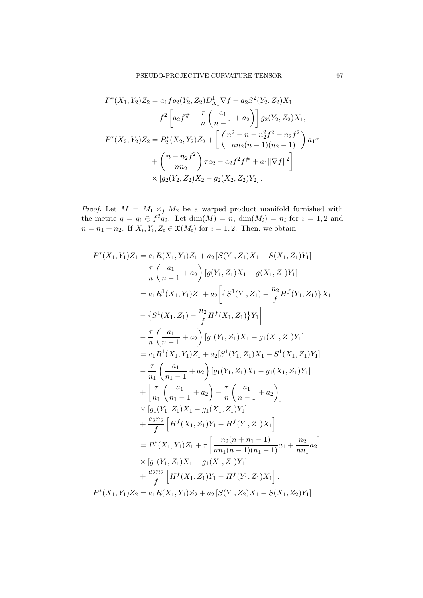$$
P^*(X_1, Y_2)Z_2 = a_1fg_2(Y_2, Z_2)D_{X_1}^1 \nabla f + a_2S^2(Y_2, Z_2)X_1
$$
  

$$
- f^2 \left[ a_2 f^{\#} + \frac{\tau}{n} \left( \frac{a_1}{n-1} + a_2 \right) \right] g_2(Y_2, Z_2)X_1,
$$
  

$$
P^*(X_2, Y_2)Z_2 = P_2^*(X_2, Y_2)Z_2 + \left[ \left( \frac{n^2 - n - n_2^2 f^2 + n_2 f^2}{n n_2 (n-1)(n_2 - 1)} \right) a_1 \tau
$$
  

$$
+ \left( \frac{n - n_2 f^2}{n n_2} \right) \tau a_2 - a_2 f^2 f^{\#} + a_1 ||\nabla f||^2 \right]
$$
  

$$
\times [g_2(Y_2, Z_2)X_2 - g_2(X_2, Z_2)Y_2].
$$

*Proof.* Let  $M = M_1 \times_f M_2$  be a warped product manifold furnished with the metric  $g = g_1 \oplus f^2 g_2$ . Let  $dim(M) = n$ ,  $dim(M_i) = n_i$  for  $i = 1, 2$  and  $n = n_1 + n_2$ . If  $X_i, Y_i, Z_i \in \mathfrak{X}(M_i)$  for  $i = 1, 2$ . Then, we obtain

$$
P^*(X_1, Y_1)Z_1 = a_1R(X_1, Y_1)Z_1 + a_2 [S(Y_1, Z_1)X_1 - S(X_1, Z_1)Y_1]
$$
  
\n
$$
- \frac{\tau}{n} \left( \frac{a_1}{n-1} + a_2 \right) [g(Y_1, Z_1)X_1 - g(X_1, Z_1)Y_1]
$$
  
\n
$$
= a_1R^1(X_1, Y_1)Z_1 + a_2 \left[ \{ S^1(Y_1, Z_1) - \frac{n_2}{f} H^f(Y_1, Z_1) \} X_1 \right]
$$
  
\n
$$
- \left\{ S^1(X_1, Z_1) - \frac{n_2}{f} H^f(X_1, Z_1) \} Y_1 \right\}
$$
  
\n
$$
- \frac{\tau}{n} \left( \frac{a_1}{n-1} + a_2 \right) [g_1(Y_1, Z_1)X_1 - g_1(X_1, Z_1)Y_1]
$$
  
\n
$$
= a_1R^1(X_1, Y_1)Z_1 + a_2[S^1(Y_1, Z_1)X_1 - S^1(X_1, Z_1)Y_1]
$$
  
\n
$$
- \frac{\tau}{n_1} \left( \frac{a_1}{n_1 - 1} + a_2 \right) [g_1(Y_1, Z_1)X_1 - g_1(X_1, Z_1)Y_1]
$$
  
\n
$$
+ \left[ \frac{\tau}{n_1} \left( \frac{a_1}{n_1 - 1} + a_2 \right) - \frac{\tau}{n} \left( \frac{a_1}{n - 1} + a_2 \right) \right]
$$
  
\n
$$
\times [g_1(Y_1, Z_1)X_1 - g_1(X_1, Z_1)Y_1]
$$
  
\n
$$
+ \frac{a_2n_2}{f} \left[ H^f(X_1, Z_1)Y_1 - H^f(Y_1, Z_1)X_1 \right]
$$
  
\n
$$
= P_1^*(X_1, Y_1)Z_1 + \tau \left[ \frac{n_2(n + n_1 - 1)}{n_1(n - 1)(n_1 - 1)} a_1 + \frac{n_2}{n_1} a_2 \right]
$$
  
\n
$$
\times [g_1(Y_1, Z
$$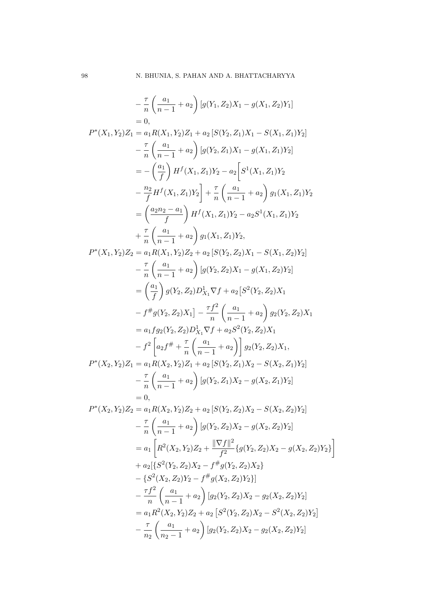$$
-\frac{\pi}{n}\left(\frac{a_1}{n-1}+a_2\right)[g(Y_1, Z_2)X_1-g(X_1, Z_2)Y_1]
$$
  
\n= 0,  
\n
$$
P^*(X_1, Y_2)Z_1 = a_1R(X_1, Y_2)Z_1 + a_2 [S(Y_2, Z_1)X_1 - S(X_1, Z_1)Y_2]
$$
  
\n
$$
-\frac{\pi}{n}\left(\frac{a_1}{n-1}+a_2\right)[g(Y_2, Z_1)X_1 - g(X_1, Z_1)Y_2]
$$
  
\n
$$
= -\left(\frac{a_1}{f}\right)H^f(X_1, Z_1)Y_2 - a_2 \left[S^1(X_1, Z_1)Y_2\right]
$$
  
\n
$$
-\frac{n_2}{f}H^f(X_1, Z_1)Y_2\right] + \frac{\pi}{n}\left(\frac{a_1}{n-1}+a_2\right)g_1(X_1, Z_1)Y_2
$$
  
\n
$$
= \left(\frac{a_2n_2-a_1}{f}\right)H^f(X_1, Z_1)Y_2 - a_2S^1(X_1, Z_1)Y_2
$$
  
\n
$$
+\frac{\pi}{n}\left(\frac{a_1}{n-1}+a_2\right)g_1(X_1, Z_1)Y_2,
$$
  
\n
$$
P^*(X_1, Y_2)Z_2 = a_1R(X_1, Y_2)Z_2 + a_2 [S(Y_2, Z_2)X_1 - S(X_1, Z_2)Y_2]
$$
  
\n
$$
= \frac{\pi}{n}\left(\frac{a_1}{n-1}+a_2\right)[g(Y_2, Z_2)X_1 - g(X_1, Z_2)Y_2]
$$
  
\n
$$
= \left(\frac{a_1}{f}\right)g(Y_2, Z_2)D_{X_1}^1\nabla f + a_2 [S^2(Y_2, Z_2)X_1
$$
  
\n
$$
-f^{\#}g(Y_2, Z_2)D_{X_1}^1\nabla f + a_2 [S^2(Y_2, Z_2)X_1
$$
  
\n
$$
-f^{\#}g(Y_2, Z_2)D_{X_1}^1\nabla f + a_2 S^2(Y_2,
$$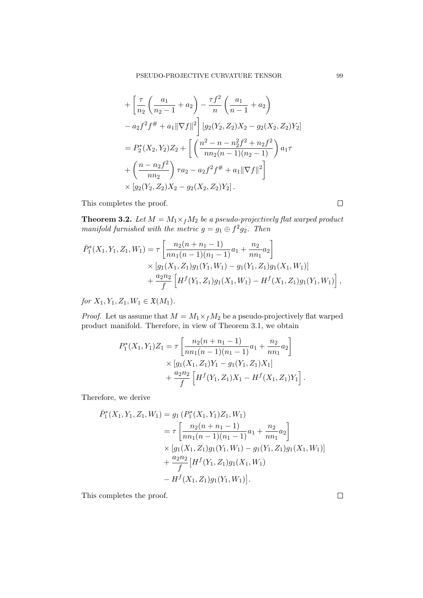$$
+\left[\frac{\tau}{n_2}\left(\frac{a_1}{n_2-1}+a_2\right)-\frac{\tau f^2}{n}\left(\frac{a_1}{n-1}+a_2\right)\right.\n-a_2f^2f^{\#}+a_1\|\nabla f\|^2\right][g_2(Y_2, Z_2)X_2-g_2(X_2, Z_2)Y_2]
$$
\n
$$
=P_2^*(X_2, Y_2)Z_2+\left[\left(\frac{n^2-n-n_2^2f^2+n_2f^2}{nn_2(n-1)(n_2-1)}\right)a_1\tau\right.\n+\left(\frac{n-n_2f^2}{nn_2}\right)\tau a_2-a_2f^2f^{\#}+a_1\|\nabla f\|^2\right]\n\times [g_2(Y_2, Z_2)X_2-g_2(X_2, Z_2)Y_2].
$$

This completes the proof.

**Theorem 3.2.** *Let*  $M = M_1 \times_f M_2$  *be a pseudo-projectively flat warped product manifold furnished with the metric*  $g = g_1 \oplus f^2 g_2$ . Then

$$
\bar{P}_1^*(X_1, Y_1, Z_1, W_1) = \tau \left[ \frac{n_2(n + n_1 - 1)}{n n_1(n - 1)(n_1 - 1)} a_1 + \frac{n_2}{n n_1} a_2 \right] \times [g_1(X_1, Z_1) g_1(Y_1, W_1) - g_1(Y_1, Z_1) g_1(X_1, W_1)] \n+ \frac{a_2 n_2}{f} \left[ H^f(Y_1, Z_1) g_1(X_1, W_1) - H^f(X_1, Z_1) g_1(Y_1, W_1) \right],
$$

*for*  $X_1, Y_1, Z_1, W_1 \in \mathfrak{X}(M_1)$ .

*Proof.* Let us assume that  $M = M_1 \times_f M_2$  be a pseudo-projectively flat warped product manifold. Therefore, in view of Theorem 3.1, we obtain

$$
P_1^*(X_1, Y_1)Z_1 = \tau \left[ \frac{n_2(n + n_1 - 1)}{n n_1(n - 1)(n_1 - 1)} a_1 + \frac{n_2}{n n_1} a_2 \right] \times [g_1(X_1, Z_1)Y_1 - g_1(Y_1, Z_1)X_1] + \frac{a_2 n_2}{f} \left[ H^f(Y_1, Z_1)X_1 - H^f(X_1, Z_1)Y_1 \right].
$$

Therefore, we derive

$$
\bar{P}_1^*(X_1, Y_1, Z_1, W_1) = g_1 (P_1^*(X_1, Y_1)Z_1, W_1)
$$
\n
$$
= \tau \left[ \frac{n_2(n + n_1 - 1)}{n n_1(n - 1)(n_1 - 1)} a_1 + \frac{n_2}{n n_1} a_2 \right]
$$
\n
$$
\times \left[ g_1(X_1, Z_1) g_1(Y_1, W_1) - g_1(Y_1, Z_1) g_1(X_1, W_1) \right]
$$
\n
$$
+ \frac{a_2 n_2}{f} \left[ H^f(Y_1, Z_1) g_1(X_1, W_1) \right]
$$
\n
$$
- H^f(X_1, Z_1) g_1(Y_1, W_1) \right].
$$

This completes the proof.

 $\Box$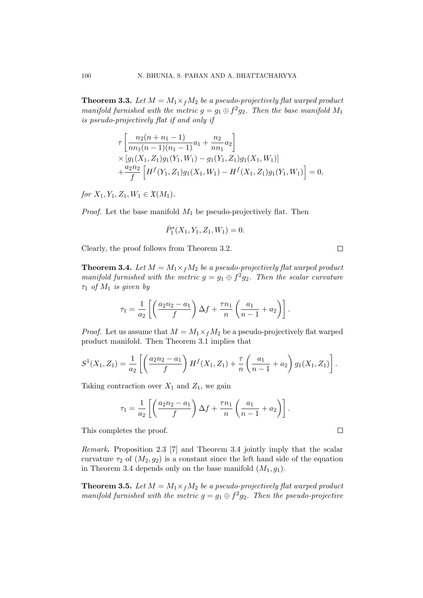**Theorem 3.3.** Let  $M = M_1 \times_f M_2$  be a pseudo-projectively flat warped product *manifold furnished with the metric*  $g = g_1 \oplus f^2 g_2$ . Then the base manifold  $M_1$ *is pseudo-projectively flat if and only if*

$$
\tau\left[\frac{n_2(n+n_1-1)}{nn_1(n-1)(n_1-1)}a_1 + \frac{n_2}{nn_1}a_2\right] \times [g_1(X_1, Z_1)g_1(Y_1, W_1) - g_1(Y_1, Z_1)g_1(X_1, W_1)] + \frac{a_2n_2}{f} \left[H^f(Y_1, Z_1)g_1(X_1, W_1) - H^f(X_1, Z_1)g_1(Y_1, W_1)\right] = 0,
$$

*for*  $X_1, Y_1, Z_1, W_1 \in \mathfrak{X}(M_1)$ .

*Proof.* Let the base manifold *M*<sup>1</sup> be pseudo-projectively flat. Then

$$
\bar{P}_1^*(X_1, Y_1, Z_1, W_1) = 0.
$$

Clearly, the proof follows from Theorem 3.2.

**Theorem 3.4.** *Let*  $M = M_1 \times_f M_2$  *be a pseudo-projectively flat warped product manifold furnished with the metric*  $g = g_1 \oplus f^2 g_2$ . Then the scalar curvature *τ*<sup>1</sup> *of M*<sup>1</sup> *is given by*

$$
\tau_1 = \frac{1}{a_2} \left[ \left( \frac{a_2 n_2 - a_1}{f} \right) \Delta f + \frac{\tau n_1}{n} \left( \frac{a_1}{n_1 + a_2} \right) \right].
$$

*Proof.* Let us assume that  $M = M_1 \times_f M_2$  be a pseudo-projectively flat warped product manifold. Then Theorem 3.1 implies that

$$
S^{1}(X_{1}, Z_{1}) = \frac{1}{a_{2}} \left[ \left( \frac{a_{2}n_{2} - a_{1}}{f} \right) H^{f}(X_{1}, Z_{1}) + \frac{\tau}{n} \left( \frac{a_{1}}{n-1} + a_{2} \right) g_{1}(X_{1}, Z_{1}) \right].
$$

Taking contraction over  $X_1$  and  $Z_1$ , we gain

$$
\tau_1 = \frac{1}{a_2} \left[ \left( \frac{a_2 n_2 - a_1}{f} \right) \Delta f + \frac{\tau n_1}{n} \left( \frac{a_1}{n_1 + a_2} \right) \right].
$$

This completes the proof.

*Remark***.** Proposition 2.3 [7] and Theorem 3.4 jointly imply that the scalar curvature  $\tau_2$  of  $(M_2, g_2)$  is a constant since the left hand side of the equation in Theorem 3.4 depends only on the base manifold  $(M_1, g_1)$ .

**Theorem 3.5.** Let  $M = M_1 \times_f M_2$  be a pseudo-projectively flat warped product *manifold furnished with the metric*  $g = g_1 \oplus f^2 g_2$ . Then the pseudo-projective

$$
\qquad \qquad \Box
$$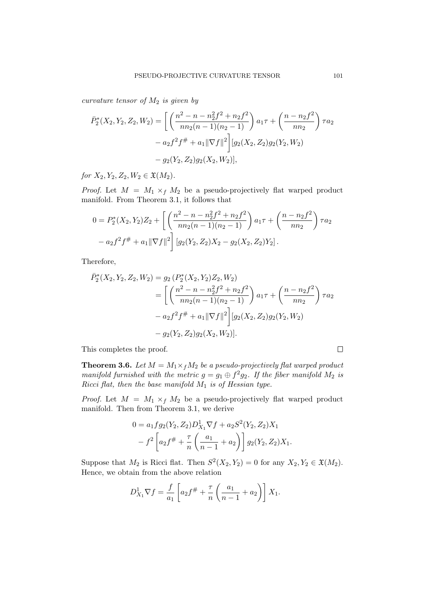*curvature tensor of M*<sup>2</sup> *is given by*

$$
\bar{P}_2^*(X_2, Y_2, Z_2, W_2) = \left[ \left( \frac{n^2 - n - n_2^2 f^2 + n_2 f^2}{n n_2 (n - 1)(n_2 - 1)} \right) a_1 \tau + \left( \frac{n - n_2 f^2}{n n_2} \right) \tau a_2 \n- a_2 f^2 f^{\#} + a_1 ||\nabla f||^2 \right] [g_2(X_2, Z_2) g_2(Y_2, W_2) \n- g_2(Y_2, Z_2) g_2(X_2, W_2)],
$$

*for*  $X_2, Y_2, Z_2, W_2 \in \mathfrak{X}(M_2)$ *.* 

*Proof.* Let  $M = M_1 \times_f M_2$  be a pseudo-projectively flat warped product manifold. From Theorem 3.1, it follows that

$$
0 = P_2^*(X_2, Y_2)Z_2 + \left[ \left( \frac{n^2 - n - n_2^2 f^2 + n_2 f^2}{n n_2 (n - 1)(n_2 - 1)} \right) a_1 \tau + \left( \frac{n - n_2 f^2}{n n_2} \right) \tau a_2 - a_2 f^2 f^{\#} + a_1 ||\nabla f||^2 \right] [g_2(Y_2, Z_2)X_2 - g_2(X_2, Z_2)Y_2].
$$

Therefore,

$$
\bar{P}_2^*(X_2, Y_2, Z_2, W_2) = g_2(P_2^*(X_2, Y_2)Z_2, W_2)
$$
  
= 
$$
\left[ \left( \frac{n^2 - n - n_2^2 f^2 + n_2 f^2}{n n_2 (n - 1)(n_2 - 1)} \right) a_1 \tau + \left( \frac{n - n_2 f^2}{n n_2} \right) \tau a_2
$$
  
- 
$$
a_2 f^2 f^{\#} + a_1 \|\nabla f\|^2 \right] [g_2(X_2, Z_2) g_2(Y_2, W_2)
$$
  
- 
$$
g_2(Y_2, Z_2) g_2(X_2, W_2)].
$$

This completes the proof.

**Theorem 3.6.** *Let*  $M = M_1 \times_f M_2$  *be a pseudo-projectively flat warped product manifold furnished with the metric*  $g = g_1 \oplus f^2 g_2$ . If the fiber manifold  $M_2$  *is Ricci flat, then the base manifold M*<sup>1</sup> *is of Hessian type.*

*Proof.* Let  $M = M_1 \times_f M_2$  be a pseudo-projectively flat warped product manifold. Then from Theorem 3.1, we derive

$$
0 = a_1fg_2(Y_2, Z_2)D_{X_1}^1 \nabla f + a_2 S^2(Y_2, Z_2)X_1
$$
  

$$
- f^2 \left[ a_2 f^{\#} + \frac{\tau}{n} \left( \frac{a_1}{n-1} + a_2 \right) \right] g_2(Y_2, Z_2)X_1.
$$

Suppose that  $M_2$  is Ricci flat. Then  $S^2(X_2, Y_2) = 0$  for any  $X_2, Y_2 \in \mathfrak{X}(M_2)$ . Hence, we obtain from the above relation

$$
D_{X_1}^1 \nabla f = \frac{f}{a_1} \left[ a_2 f^{\#} + \frac{\tau}{n} \left( \frac{a_1}{n-1} + a_2 \right) \right] X_1.
$$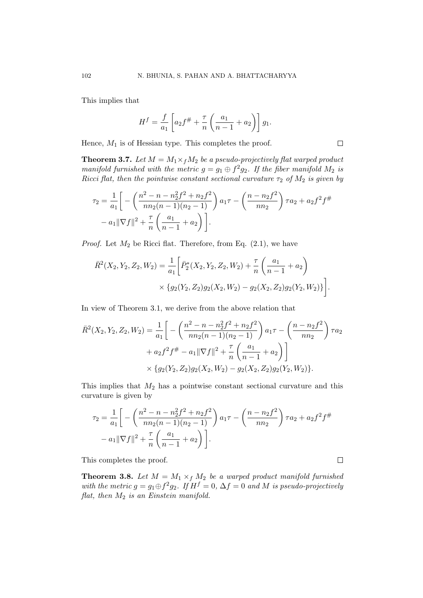This implies that

$$
H^{f} = \frac{f}{a_1} \left[ a_2 f^{\#} + \frac{\tau}{n} \left( \frac{a_1}{n-1} + a_2 \right) \right] g_1.
$$

Hence,  $M_1$  is of Hessian type. This completes the proof.

**Theorem 3.7.** Let  $M = M_1 \times_f M_2$  be a pseudo-projectively flat warped product *manifold furnished with the metric*  $g = g_1 \oplus f^2 g_2$ . If the fiber manifold  $M_2$  *is Ricci flat, then the pointwise constant sectional curvature*  $\tau_2$  *of*  $M_2$  *is given by* 

$$
\tau_2 = \frac{1}{a_1} \bigg[ -\left( \frac{n^2 - n - n_2^2 f^2 + n_2 f^2}{n n_2 (n - 1)(n_2 - 1)} \right) a_1 \tau - \left( \frac{n - n_2 f^2}{n n_2} \right) \tau a_2 + a_2 f^2 f^{\#}
$$

$$
- a_1 ||\nabla f||^2 + \frac{\tau}{n} \left( \frac{a_1}{n - 1} + a_2 \right) \bigg].
$$

*Proof.* Let  $M_2$  be Ricci flat. Therefore, from Eq.  $(2.1)$ , we have

$$
\bar{R}^2(X_2, Y_2, Z_2, W_2) = \frac{1}{a_1} \left[ \bar{P}_2^*(X_2, Y_2, Z_2, W_2) + \frac{\tau}{n} \left( \frac{a_1}{n-1} + a_2 \right) \times \{ g_2(Y_2, Z_2) g_2(X_2, W_2) - g_2(X_2, Z_2) g_2(Y_2, W_2) \} \right].
$$

In view of Theorem 3.1, we derive from the above relation that

$$
\bar{R}^2(X_2, Y_2, Z_2, W_2) = \frac{1}{a_1} \left[ -\left( \frac{n^2 - n - n_2^2 f^2 + n_2 f^2}{n n_2 (n - 1)(n_2 - 1)} \right) a_1 \tau - \left( \frac{n - n_2 f^2}{n n_2} \right) \tau a_2 \n+ a_2 f^2 f^{\#} - a_1 ||\nabla f||^2 + \frac{\tau}{n} \left( \frac{a_1}{n - 1} + a_2 \right) \right] \times \{ g_2(Y_2, Z_2) g_2(X_2, W_2) - g_2(X_2, Z_2) g_2(Y_2, W_2) \}.
$$

This implies that *M*<sup>2</sup> has a pointwise constant sectional curvature and this curvature is given by

$$
\tau_2 = \frac{1}{a_1} \bigg[ -\left( \frac{n^2 - n - n_2^2 f^2 + n_2 f^2}{n n_2 (n - 1)(n_2 - 1)} \right) a_1 \tau - \left( \frac{n - n_2 f^2}{n n_2} \right) \tau a_2 + a_2 f^2 f^{\#} - a_1 \|\nabla f\|^2 + \frac{\tau}{n} \left( \frac{a_1}{n - 1} + a_2 \right) \bigg].
$$

This completes the proof.

**Theorem 3.8.** Let  $M = M_1 \times_f M_2$  be a warped product manifold furnished *with the metric*  $g = g_1 \oplus f^2 g_2$ . If  $H^f = 0$ ,  $\Delta f = 0$  and M is pseudo-projectively *flat, then M*<sup>2</sup> *is an Einstein manifold.*

 $\Box$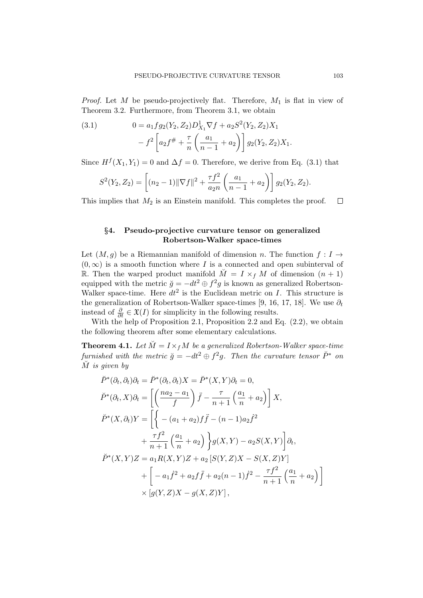*Proof.* Let *M* be pseudo-projectively flat. Therefore, *M*<sup>1</sup> is flat in view of Theorem 3.2. Furthermore, from Theorem 3.1, we obtain

(3.1) 
$$
0 = a_1 f g_2(Y_2, Z_2) D_{X_1}^1 \nabla f + a_2 S^2(Y_2, Z_2) X_1 - f^2 \left[ a_2 f^{\#} + \frac{\tau}{n} \left( \frac{a_1}{n-1} + a_2 \right) \right] g_2(Y_2, Z_2) X_1.
$$

Since  $H^f(X_1, Y_1) = 0$  and  $\Delta f = 0$ . Therefore, we derive from Eq. (3.1) that

$$
S^{2}(Y_{2}, Z_{2}) = \left[ (n_{2} - 1) \|\nabla f\|^{2} + \frac{\tau f^{2}}{a_{2}n} \left( \frac{a_{1}}{n-1} + a_{2} \right) \right] g_{2}(Y_{2}, Z_{2}).
$$

This implies that  $M_2$  is an Einstein manifold. This completes the proof.  $\Box$ 

## *§***4. Pseudo-projective curvature tensor on generalized Robertson-Walker space-times**

Let  $(M, g)$  be a Riemannian manifold of dimension *n*. The function  $f: I \rightarrow$  $(0, \infty)$  is a smooth function where *I* is a connected and open subinterval of R. Then the warped product manifold  $\tilde{M} = I \times_f M$  of dimension  $(n + 1)$ equipped with the metric  $\breve{g} = -dt^2 \oplus f^2 g$  is known as generalized Robertson-Walker space-time. Here  $dt^2$  is the Euclidean metric on *I*. This structure is the generalization of Robertson-Walker space-times [9, 16, 17, 18]. We use  $\partial_t$ instead of  $\frac{\partial}{\partial t} \in \mathfrak{X}(I)$  for simplicity in the following results.

With the help of Proposition 2.1, Proposition 2.2 and Eq.  $(2.2)$ , we obtain the following theorem after some elementary calculations.

**Theorem 4.1.** Let  $\breve{M} = I \times_f M$  be a generalized Robertson-Walker space-time *furnished with the metric*  $\breve{g} = -dt^2 \oplus f^2g$ *. Then the curvature tensor*  $\breve{P}^*$  *on M*˘ *is given by*

$$
\check{P}^*(\partial_t, \partial_t)\partial_t = \check{P}^*(\partial_t, \partial_t)X = \check{P}^*(X, Y)\partial_t = 0,
$$
  
\n
$$
\check{P}^*(\partial_t, X)\partial_t = \left[ \left( \frac{na_2 - a_1}{f} \right) \check{f} - \frac{\tau}{n+1} \left( \frac{a_1}{n} + a_2 \right) \right] X,
$$
  
\n
$$
\check{P}^*(X, \partial_t)Y = \left[ \left\{ -(a_1 + a_2)f\check{f} - (n-1)a_2\check{f}^2 + \frac{\tau f^2}{n+1} \left( \frac{a_1}{n} + a_2 \right) \right\} g(X, Y) - a_2S(X, Y) \right] \partial_t,
$$
  
\n
$$
\check{P}^*(X, Y)Z = a_1R(X, Y)Z + a_2 \left[ S(Y, Z)X - S(X, Z)Y \right] + \left[ -a_1\check{f}^2 + a_2f\check{f} + a_2(n-1)\check{f}^2 - \frac{\tau f^2}{n+1} \left( \frac{a_1}{n} + a_2 \right) \right] \times \left[ g(Y, Z)X - g(X, Z)Y \right],
$$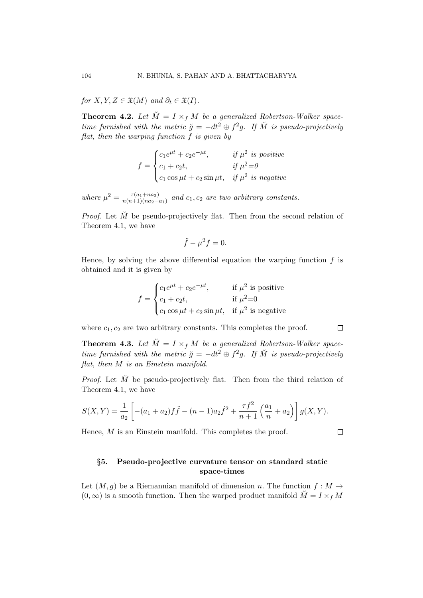*for*  $X, Y, Z \in \mathfrak{X}(M)$  *and*  $\partial_t \in \mathfrak{X}(I)$ *.* 

**Theorem 4.2.** Let  $\breve{M} = I \times_f M$  be a generalized Robertson-Walker space*time furnished with the metric*  $\breve{g} = -dt^2 \oplus f^2g$ . If  $\breve{M}$  is pseudo-projectively *flat, then the warping function f is given by*

$$
f = \begin{cases} c_1 e^{\mu t} + c_2 e^{-\mu t}, & \text{if } \mu^2 \text{ is positive} \\ c_1 + c_2 t, & \text{if } \mu^2 = 0 \\ c_1 \cos \mu t + c_2 \sin \mu t, & \text{if } \mu^2 \text{ is negative} \end{cases}
$$

*where*  $\mu^2 = \frac{\tau(a_1 + na_2)}{n(n+1)(na_2 - a_1)}$  $\frac{\tau(a_1+n a_2)}{n(n+1)(n a_2-a_1)}$  and  $c_1, c_2$  are two arbitrary constants.

*Proof.* Let  $\check{M}$  be pseudo-projectively flat. Then from the second relation of Theorem 4.1, we have

$$
\ddot{f} - \mu^2 f = 0.
$$

Hence, by solving the above differential equation the warping function *f* is obtained and it is given by

$$
f = \begin{cases} c_1 e^{\mu t} + c_2 e^{-\mu t}, & \text{if } \mu^2 \text{ is positive} \\ c_1 + c_2 t, & \text{if } \mu^2 = 0 \\ c_1 \cos \mu t + c_2 \sin \mu t, & \text{if } \mu^2 \text{ is negative} \end{cases}
$$

where  $c_1, c_2$  are two arbitrary constants. This completes the proof.

**Theorem 4.3.** Let  $\check{M} = I \times_f M$  be a generalized Robertson-Walker space*time furnished with the metric*  $\breve{g} = -dt^2 \oplus f^2g$ . If  $\breve{M}$  is pseudo-projectively *flat, then M is an Einstein manifold.*

*Proof.* Let  $\tilde{M}$  be pseudo-projectively flat. Then from the third relation of Theorem 4.1, we have

$$
S(X,Y) = \frac{1}{a_2} \left[ -(a_1 + a_2)f\ddot{f} - (n-1)a_2\dot{f}^2 + \frac{\tau f^2}{n+1} \left( \frac{a_1}{n} + a_2 \right) \right] g(X,Y).
$$

Hence, *M* is an Einstein manifold. This completes the proof.

## *§***5. Pseudo-projective curvature tensor on standard static space-times**

Let  $(M, q)$  be a Riemannian manifold of dimension *n*. The function  $f : M \rightarrow$  $(0, \infty)$  is a smooth function. Then the warped product manifold  $\tilde{M} = I \times_f M$ 

 $\Box$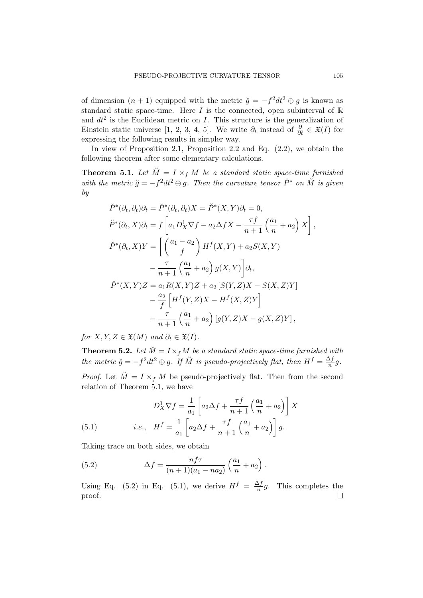of dimension  $(n + 1)$  equipped with the metric  $\check{g} = -f^2 dt^2 \oplus g$  is known as standard static space-time. Here  $I$  is the connected, open subinterval of  $\mathbb R$ and  $dt^2$  is the Euclidean metric on *I*. This structure is the generalization of Einstein static universe [1, 2, 3, 4, 5]. We write  $\partial_t$  instead of  $\frac{\partial}{\partial t} \in \mathfrak{X}(I)$  for expressing the following results in simpler way.

In view of Proposition 2.1, Proposition 2.2 and Eq. (2.2), we obtain the following theorem after some elementary calculations.

**Theorem 5.1.** Let  $\breve{M} = I \times_f M$  be a standard static space-time furnished *with the metric*  $\breve{g} = -f^2 dt^2 \oplus g$ . Then the curvature tensor  $\breve{P}^*$  *on*  $\breve{M}$  *is given by*

$$
\check{P}^*(\partial_t, \partial_t)\partial_t = \check{P}^*(\partial_t, \partial_t)X = \check{P}^*(X, Y)\partial_t = 0,
$$
  
\n
$$
\check{P}^*(\partial_t, X)\partial_t = f\left[a_1D_X^1\nabla f - a_2\Delta fX - \frac{\tau f}{n+1}\left(\frac{a_1}{n} + a_2\right)X\right],
$$
  
\n
$$
\check{P}^*(\partial_t, X)Y = \left[\left(\frac{a_1 - a_2}{f}\right)H^f(X, Y) + a_2S(X, Y) - \frac{\tau}{n+1}\left(\frac{a_1}{n} + a_2\right)g(X, Y)\right]\partial_t,
$$
  
\n
$$
\check{P}^*(X, Y)Z = a_1R(X, Y)Z + a_2\left[S(Y, Z)X - S(X, Z)Y\right] - \frac{a_2}{f}\left[H^f(Y, Z)X - H^f(X, Z)Y\right] - \frac{\tau}{n+1}\left(\frac{a_1}{n} + a_2\right)\left[g(Y, Z)X - g(X, Z)Y\right],
$$

*for*  $X, Y, Z \in \mathfrak{X}(M)$  *and*  $\partial_t \in \mathfrak{X}(I)$ *.* 

**Theorem 5.2.** *Let*  $\breve{M} = I \times_f M$  *be a standard static space-time furnished with the metric*  $\breve{g} = -f^2 dt^2 \oplus g$ . If  $\breve{M}$  is pseudo-projectively flat, then  $H^f = \frac{\Delta f}{n}$  $\frac{\Delta f}{n}g$ .

*Proof.* Let  $\check{M} = I \times_f M$  be pseudo-projectively flat. Then from the second relation of Theorem 5.1, we have

(5.1) 
$$
D_X^1 \nabla f = \frac{1}{a_1} \left[ a_2 \Delta f + \frac{\tau f}{n+1} \left( \frac{a_1}{n} + a_2 \right) \right] X
$$

$$
i.e., \quad H^f = \frac{1}{a_1} \left[ a_2 \Delta f + \frac{\tau f}{n+1} \left( \frac{a_1}{n} + a_2 \right) \right] g.
$$

Taking trace on both sides, we obtain

(5.2) 
$$
\Delta f = \frac{n f \tau}{(n+1)(a_1 - n a_2)} \left(\frac{a_1}{n} + a_2\right).
$$

Using Eq. (5.2) in Eq. (5.1), we derive  $H^f = \frac{\Delta f}{n}$  $\frac{\Delta f}{n}g$ . This completes the proof. $\Box$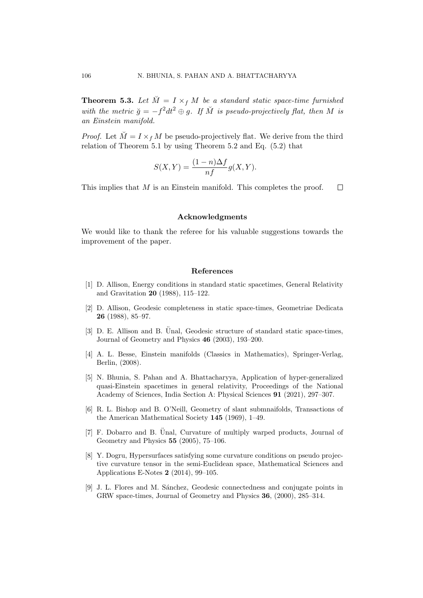**Theorem 5.3.** Let  $\breve{M} = I \times_f M$  be a standard static space-time furnished *with the metric*  $\breve{g} = -f^2 dt^2 \oplus g$ . If  $\breve{M}$  is pseudo-projectively flat, then M is *an Einstein manifold.*

*Proof.* Let  $\check{M} = I \times f M$  be pseudo-projectively flat. We derive from the third relation of Theorem 5.1 by using Theorem 5.2 and Eq. (5.2) that

$$
S(X,Y) = \frac{(1-n)\Delta f}{nf}g(X,Y).
$$

This implies that *M* is an Einstein manifold. This completes the proof.  $\Box$ 

### **Acknowledgments**

We would like to thank the referee for his valuable suggestions towards the improvement of the paper.

## **References**

- [1] D. Allison, Energy conditions in standard static spacetimes, General Relativity and Gravitation **20** (1988), 115–122.
- [2] D. Allison, Geodesic completeness in static space-times, Geometriae Dedicata **26** (1988), 85–97.
- [3] D. E. Allison and B. Unal, Geodesic structure of standard static space-times, Journal of Geometry and Physics **46** (2003), 193–200.
- [4] A. L. Besse, Einstein manifolds (Classics in Mathematics), Springer-Verlag, Berlin, (2008).
- [5] N. Bhunia, S. Pahan and A. Bhattacharyya, Application of hyper-generalized quasi-Einstein spacetimes in general relativity, Proceedings of the National Academy of Sciences, India Section A: Physical Sciences **91** (2021), 297–307.
- [6] R. L. Bishop and B. O'Neill, Geometry of slant submnaifolds, Transactions of the American Mathematical Society **145** (1969), 1–49.
- $[7]$  F. Dobarro and B. Unal, Curvature of multiply warped products, Journal of Geometry and Physics **55** (2005), 75–106.
- [8] Y. Dogru, Hypersurfaces satisfying some curvature conditions on pseudo projective curvature tensor in the semi-Euclidean space, Mathematical Sciences and Applications E-Notes **2** (2014), 99–105.
- [9] J. L. Flores and M. S´anchez, Geodesic connectedness and conjugate points in GRW space-times, Journal of Geometry and Physics **36**, (2000), 285–314.